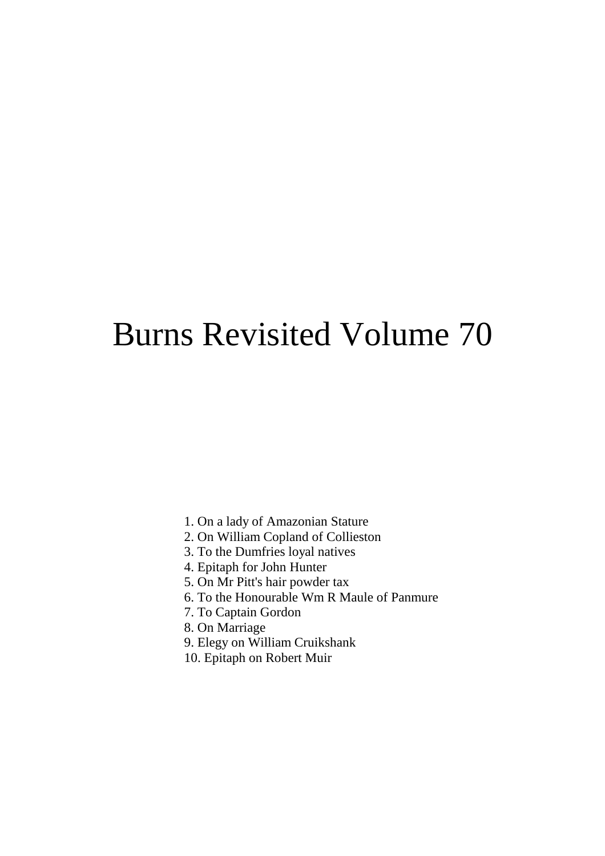# Burns Revisited Volume 70

- 1. On a lady of Amazonian Stature
- 2. On William Copland of Collieston
- 3. To the Dumfries loyal natives
- 4. Epitaph for John Hunter
- 5. On Mr Pitt's hair powder tax
- 6. To the Honourable Wm R Maule of Panmure
- 7. To Captain Gordon
- 8. On Marriage
- 9. Elegy on William Cruikshank
- 10. Epitaph on Robert Muir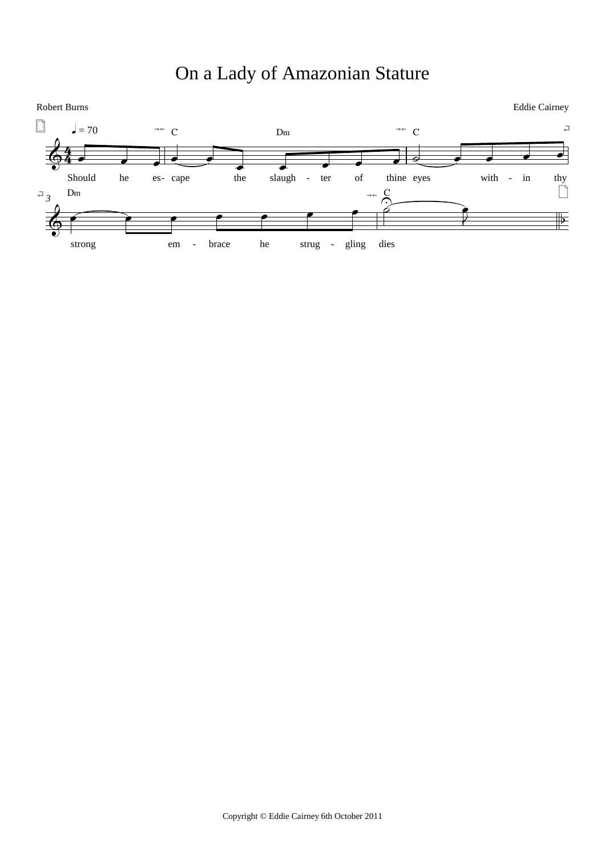# On a Lady of Amazonian Stature

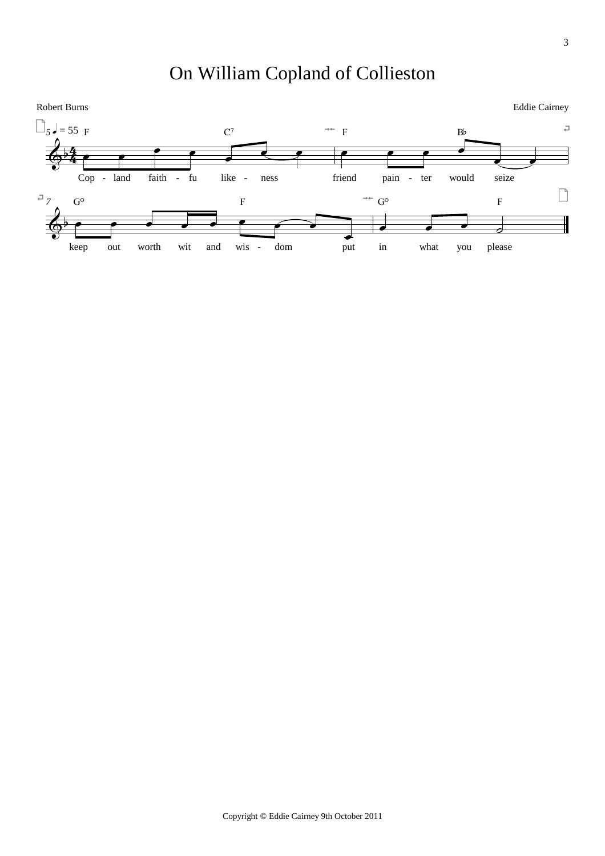# On William Copland of Collieston

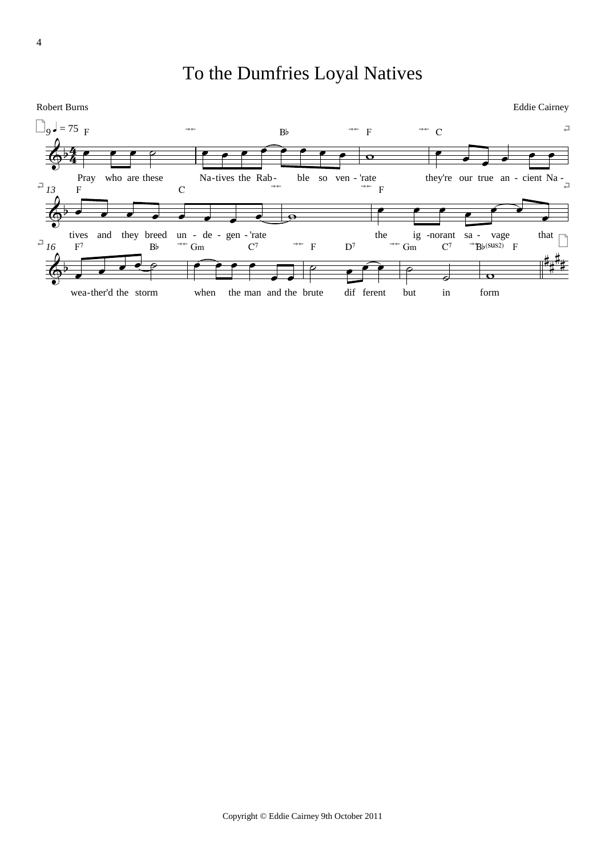# To the Dumfries Loyal Natives

Robert Burns

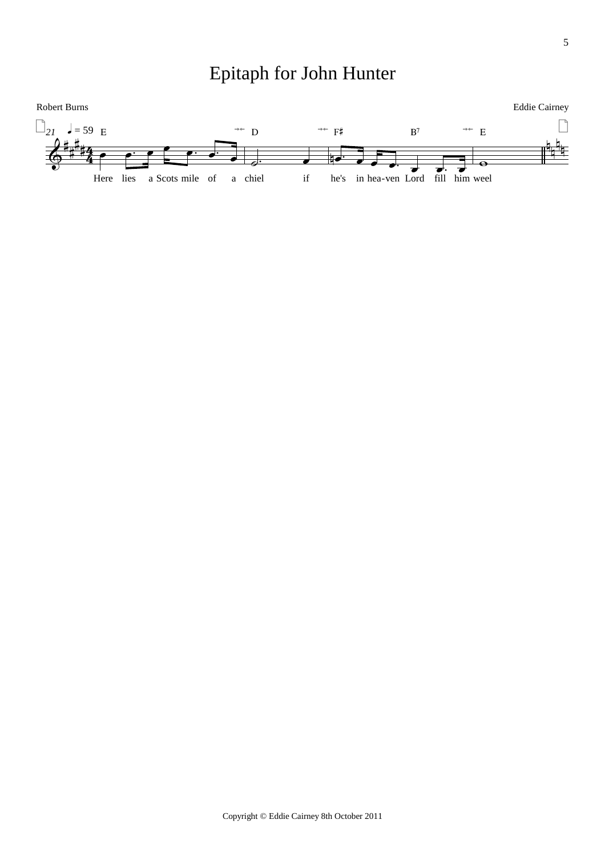Epitaph for John Hunter

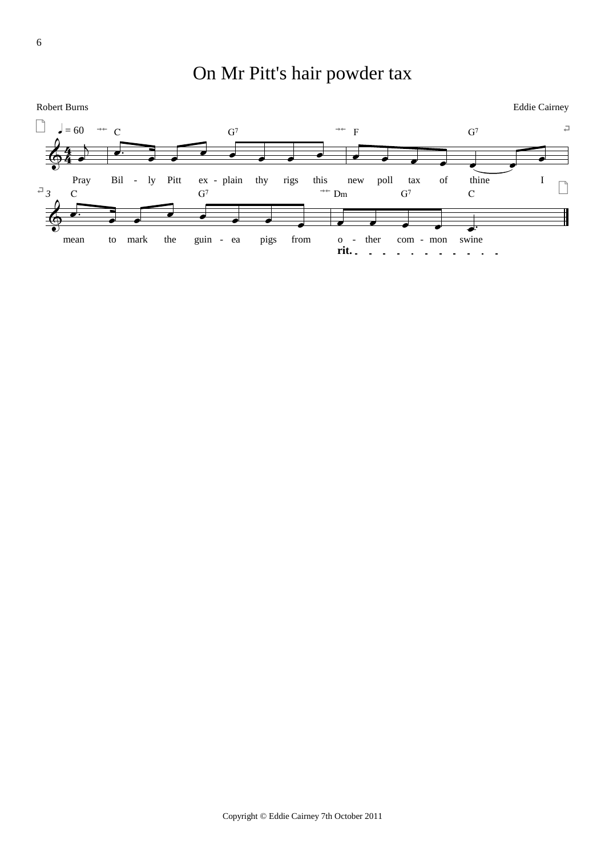# On Mr Pitt's hair powder tax

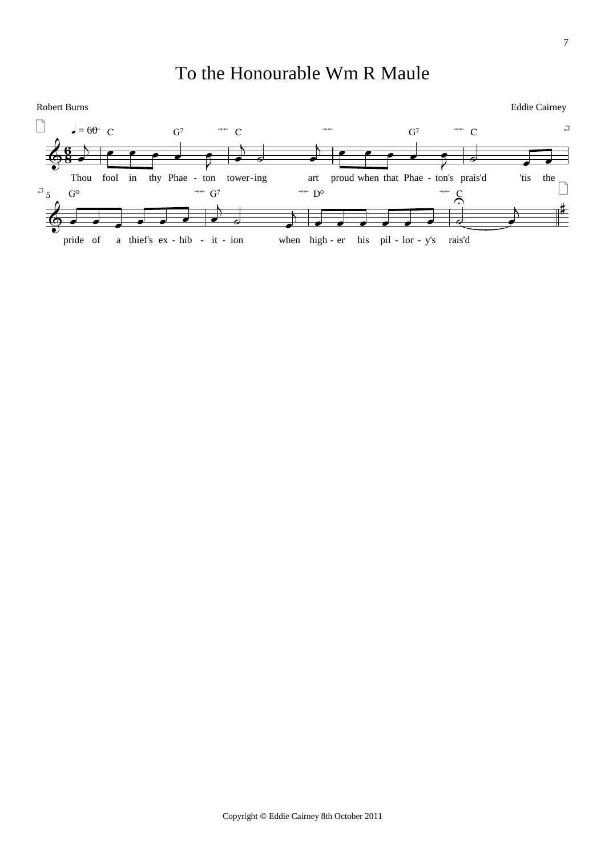# To the Honourable Wm R Maule

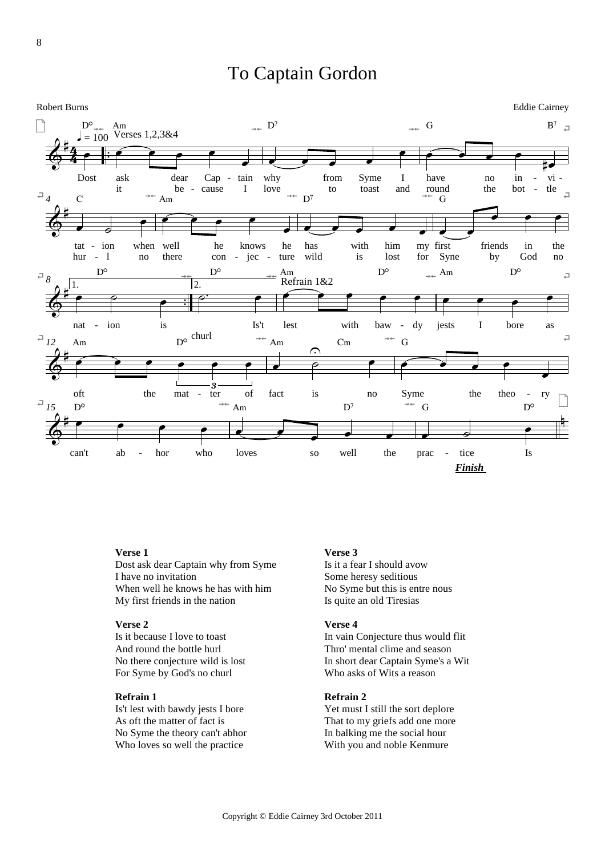### To Captain Gordon



#### **Verse 1**

Dost ask dear Captain why from Syme I have no invitation When well he knows he has with him My first friends in the nation

#### **Verse 2**

Is it because I love to toast And round the bottle hurl No there conjecture wild is lost For Syme by God's no churl

#### **Refrain 1**

Is't lest with bawdy jests I bore As oft the matter of fact is No Syme the theory can't abhor Who loves so well the practice

#### **Verse 3**

Is it a fear I should avow Some heresy seditious No Syme but this is entre nous Is quite an old Tiresias

#### **Verse 4**

In vain Conjecture thus would flit Thro' mental clime and season In short dear Captain Syme's a Wit Who asks of Wits a reason

#### **Refrain 2**

Yet must I still the sort deplore That to my griefs add one more In balking me the social hour With you and noble Kenmure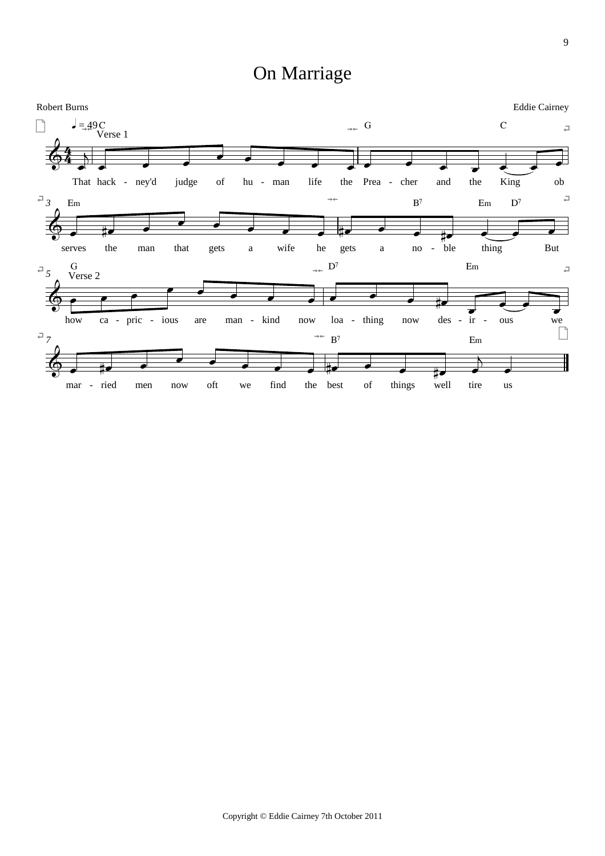# On Marriage

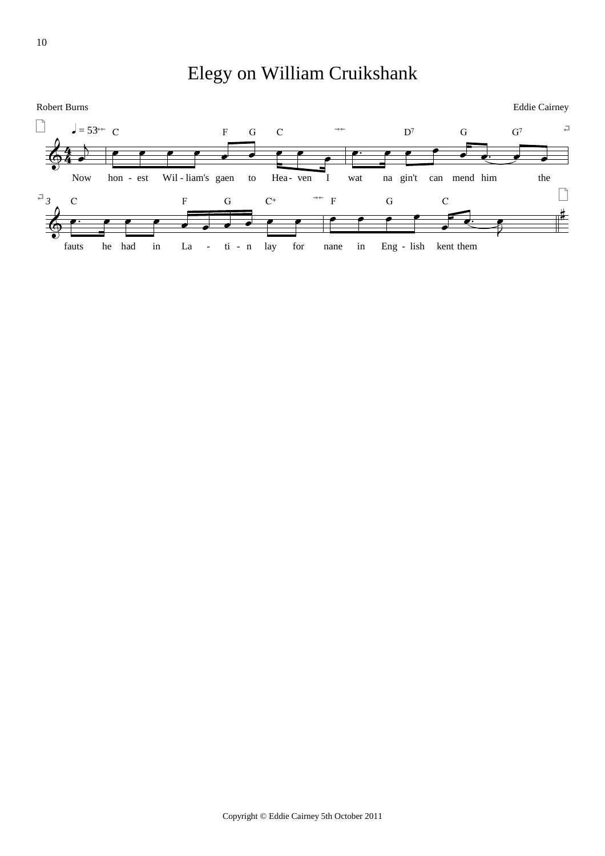Elegy on William Cruikshank



10